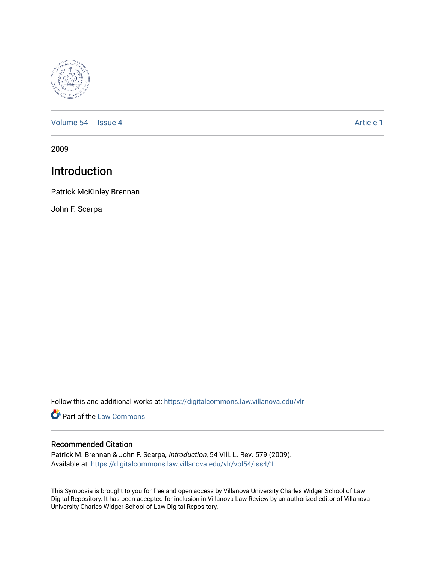

[Volume 54](https://digitalcommons.law.villanova.edu/vlr/vol54) | [Issue 4](https://digitalcommons.law.villanova.edu/vlr/vol54/iss4) Article 1

2009

## Introduction

Patrick McKinley Brennan

John F. Scarpa

Follow this and additional works at: [https://digitalcommons.law.villanova.edu/vlr](https://digitalcommons.law.villanova.edu/vlr?utm_source=digitalcommons.law.villanova.edu%2Fvlr%2Fvol54%2Fiss4%2F1&utm_medium=PDF&utm_campaign=PDFCoverPages)

**Part of the [Law Commons](http://network.bepress.com/hgg/discipline/578?utm_source=digitalcommons.law.villanova.edu%2Fvlr%2Fvol54%2Fiss4%2F1&utm_medium=PDF&utm_campaign=PDFCoverPages)** 

### Recommended Citation

Patrick M. Brennan & John F. Scarpa, Introduction, 54 Vill. L. Rev. 579 (2009). Available at: [https://digitalcommons.law.villanova.edu/vlr/vol54/iss4/1](https://digitalcommons.law.villanova.edu/vlr/vol54/iss4/1?utm_source=digitalcommons.law.villanova.edu%2Fvlr%2Fvol54%2Fiss4%2F1&utm_medium=PDF&utm_campaign=PDFCoverPages) 

This Symposia is brought to you for free and open access by Villanova University Charles Widger School of Law Digital Repository. It has been accepted for inclusion in Villanova Law Review by an authorized editor of Villanova University Charles Widger School of Law Digital Repository.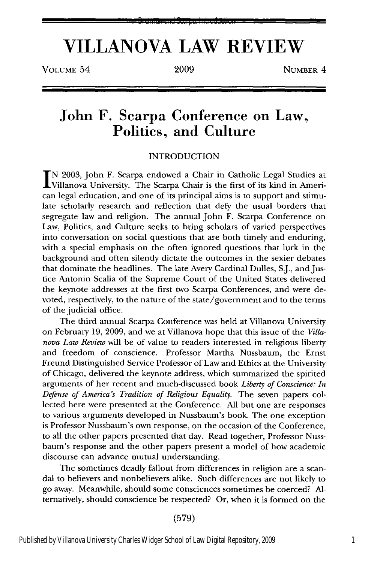#### Brennan and Scarpa: Introduction

# **VILLANOVA LAW REVIEW**

VOLUME 54 2009 NUMBER 4

### John F. Scarpa Conference on Law, Politics, and Culture

### INTRODUCTION

**IN** 2003, John F. Scarpa endowed a Chair in Catholic Legal Studies at Villanova University. The Scarpa Chair is the first of its kind in American legal education, and one of its principal aims is to support and stimulate scholarly research and reflection that defy the usual borders that segregate law and religion. The annual John F. Scarpa Conference on Law, Politics, and Culture seeks to bring scholars of varied perspectives into conversation on social questions that are both timely and enduring, with a special emphasis on the often ignored questions that lurk in the background and often silently dictate the outcomes in the sexier debates that dominate the headlines. The late Avery Cardinal Dulles, S.J., and Justice Antonin Scalia of the Supreme Court of the United States delivered the keynote addresses at the first two Scarpa Conferences, and were devoted, respectively, to the nature of the state/government and to the terms of the judicial office.

The third annual Scarpa Conference was held at Villanova University on February 19, 2009, and we at Villanova hope that this issue of the *Villanova Law Review* will be of value to readers interested in religious liberty and freedom of conscience. Professor Martha Nussbaum, the Ernst Freund Distinguished Service Professor of Law and Ethics at the University of Chicago, delivered the keynote address, which summarized the spirited arguments of her recent and much-discussed book *Liberty of Conscience: In Defense of America's Tradition of Religious Equality.* The seven papers collected here were presented at the Conference. All but one are responses to various arguments developed in Nussbaum's book. The one exception is Professor Nussbaum's own response, on the occasion of the Conference, to all the other papers presented that day. Read together, Professor Nussbaum's response and the other papers present a model of how academic discourse can advance mutual understanding.

The sometimes deadly fallout from differences in religion are a scandal to believers and nonbelievers alike. Such differences are not likely to go away. Meanwhile, should some consciences sometimes be coerced? Alternatively, should conscience be respected? Or, when it is formed on the

(579)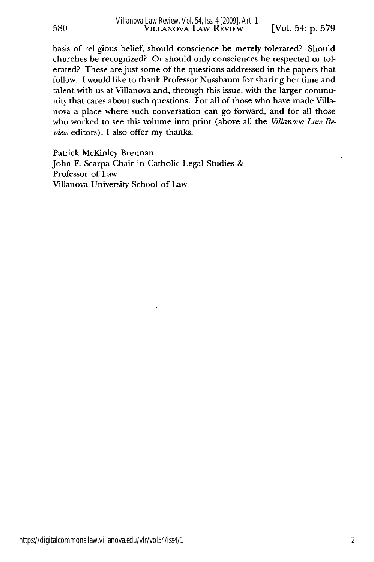basis of religious belief, should conscience be merely tolerated? Should churches be recognized? Or should only consciences be respected or tolerated? These are just some of the questions addressed in the papers that follow. I would like to thank Professor Nussbaum for sharing her time and talent with us at Villanova and, through this issue, with the larger community that cares about such questions. For all of those who have made Villanova a place where such conversation can go forward, and for all those who worked to see this volume into print (above all the *Villanova Law Review* editors), I also offer my thanks.

Patrick McKinley Brennan John F. Scarpa Chair in Catholic Legal Studies & Professor of Law Villanova University School of Law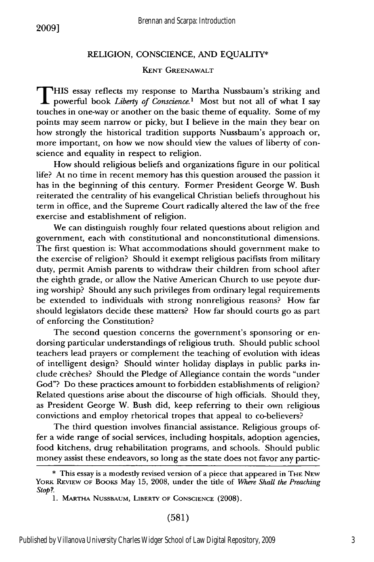### RELIGION, CONSCIENCE, AND EQUALITY\*

#### **KENT** GREENAWALT

**T** HIS essay reflects my response to Martha Nussbaum's striking and powerful book *Liberty* of *Conscience.1* Most but not all of what I say touches in one-way or another on the basic theme of equality. Some of my points may seem narrow or picky, but I believe in the main they bear on how strongly the historical tradition supports Nussbaum's approach or, more important, on how we now should view the values of liberty of conscience and equality in respect to religion.

How should religious beliefs and organizations figure in our political life? At no time in recent memory has this question aroused the passion it has in the beginning of this century. Former President George W. Bush reiterated the centrality of his evangelical Christian beliefs throughout his term in office, and the Supreme Court radically altered the law of the free exercise and establishment of religion.

We can distinguish roughly four related questions about religion and government, each with constitutional and nonconstitutional dimensions. The first question is: What accommodations should government make to the exercise of religion? Should it exempt religious pacifists from military duty, permit Amish parents to withdraw their children from school after the eighth grade, or allow the Native American Church to use peyote during worship? Should any such privileges from ordinary legal requirements be extended to individuals with strong nonreligious reasons? How far should legislators decide these matters? How far should courts go as part of enforcing the Constitution?

The second question concerns the government's sponsoring or endorsing particular understandings of religious truth. Should public school teachers lead prayers or complement the teaching of evolution with ideas of intelligent design? Should winter holiday displays in public parks include creches? Should the Pledge of Allegiance contain the words "under God"? Do these practices amount to forbidden establishments of religion? Related questions arise about the discourse of high officials. Should they, as President George W. Bush did, keep referring to their own religious convictions and employ rhetorical tropes that appeal to co-believers?

The third question involves financial assistance. Religious groups offer a wide range of social services, including hospitals, adoption agencies, food kitchens, drug rehabilitation programs, and schools. Should public money assist these endeavors, so long as the state does not favor any partic-

(581)

<sup>\*</sup> This essay is a modestly revised version of a piece that appeared in THE NEW YORK **REVIEW** OF BOOKS May 15, 2008, under the title of *Where Shall the Preaching Stap?.*

<sup>1.</sup> **MARTHA** NUSSBAUM, **LIBERTY** OF **CONSCIENCE** (2008).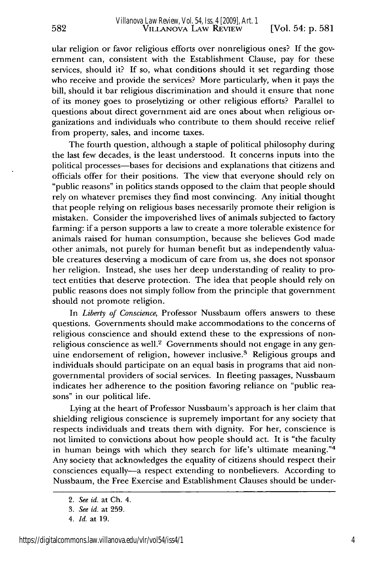ular religion or favor religious efforts over nonreligious ones? If the government can, consistent with the Establishment Clause, pay for these services, should it? If so, what conditions should it set regarding those who receive and provide the services? More particularly, when it pays the bill, should it bar religious discrimination and should it ensure that none of its money goes to proselytizing or other religious efforts? Parallel to questions about direct government aid are ones about when religious organizations and individuals who contribute to them should receive relief from property, sales, and income taxes.

The fourth question, although a staple of political philosophy during the last few decades, is the least understood. It concerns inputs into the political processes-bases for decisions and explanations that citizens and officials offer for their positions. The view that everyone should rely on "public reasons" in politics stands opposed to the claim that people should rely on whatever premises they find most convincing. Any initial thought that people relying on religious bases necessarily promote their religion is mistaken. Consider the impoverished lives of animals subjected to factory farming: if a person supports a law to create a more tolerable existence for animals raised for human consumption, because she believes God made other animals, not purely for human benefit but as independently valuable creatures deserving a modicum of care from us, she does not sponsor her religion. Instead, she uses her deep understanding of reality to protect entities that deserve protection. The idea that people should rely on public reasons does not simply follow from the principle that government should not promote religion.

In *Liberty* of *Conscience,* Professor Nussbaum offers answers to these questions. Governments should make accommodations to the concerns of religious conscience and should extend these to the expressions of nonreligious conscience as well.<sup>2</sup> Governments should not engage in any genuine endorsement of religion, however inclusive.<sup>3</sup> Religious groups and individuals should participate on an equal basis in programs that aid nongovernmental providers of social services. In fleeting passages, Nussbaum indicates her adherence to the position favoring reliance on "public reasons" in our political life.

Lying at the heart of Professor Nussbaum's approach is her claim that shielding religious conscience is supremely important for any society that respects individuals and treats them with dignity. For her, conscience is not limited to convictions about how people should act. It is "the faculty in human beings with which they search for life's ultimate meaning."<sup>4</sup> Any society that acknowledges the equality of citizens should respect their consciences equally-a respect extending to nonbelievers. According to Nussbaum, the Free Exercise and Establishment Clauses should be under-

582

*<sup>2.</sup> See id.* at Ch. 4.

*<sup>3.</sup> See id.* at 259.

*<sup>4.</sup> Id.* at 19.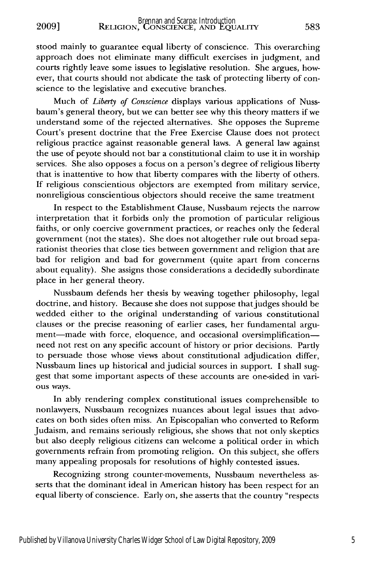**2009]**

stood mainly to guarantee equal liberty of conscience. This overarching approach does not eliminate many difficult exercises in judgment, and courts rightly leave some issues to legislative resolution. She argues, however, that courts should not abdicate the task of protecting liberty of conscience to the legislative and executive branches.

Much of *Liberty* of *Conscience* displays various applications of Nussbaum's general theory, but we can better see why this theory matters if we understand some of the rejected alternatives. She opposes the Supreme Court's present doctrine that the Free Exercise Clause does not protect religious practice against reasonable general laws. A general law against the use of peyote should not bar a constitutional claim to use it in worship services. She also opposes a focus on a person's degree of religious liberty that is inattentive to how that liberty compares with the liberty of others. If religious conscientious objectors are exempted from military service, nonreligious conscientious objectors should receive the same treatment

In respect to the Establishment Clause, Nussbaum rejects the narrow interpretation that it forbids only the promotion of particular religious faiths, or only coercive government practices, or reaches only the federal government (not the states). She does not altogether rule out broad separationist theories that close ties between government and religion that are bad for religion and bad for government (quite apart from concerns about equality). She assigns those considerations a decidedly subordinate place in her general theory.

Nussbaum defends her thesis by weaving together philosophy, legal doctrine, and history. Because she does not suppose that judges should be wedded either to the original understanding of various constitutional clauses or the precise reasoning of earlier cases, her fundamental argument-made with force, eloquence, and occasional oversimplificationneed not rest on any specific account of history or prior decisions. Partly to persuade those whose views about constitutional adjudication differ, Nussbaum lines up historical and judicial sources in support. I shall suggest that some important aspects of these accounts are one-sided in various ways.

In ably rendering complex constitutional issues comprehensible to nonlawyers, Nussbaum recognizes nuances about legal issues that advocates on both sides often miss. An Episcopalian who converted to Reform Judaism, and remains seriously religious, she shows that not only skeptics but also deeply religious citizens can welcome a political order in which governments refrain from promoting religion. On this subject, she offers many appealing proposals for resolutions of highly contested issues.

Recognizing strong counter-movements, Nussbaum nevertheless asserts that the dominant ideal in American history has been respect for an equal liberty of conscience. Early on, she asserts that the country "respects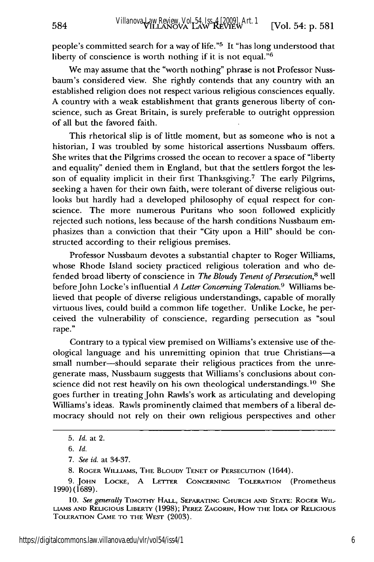people's committed search for a way of life."5 It "has long understood that liberty of conscience is worth nothing if it is not equal."<sup>6</sup>

We may assume that the "worth nothing" phrase is not Professor Nussbaum's considered view. She rightly contends that any country with an established religion does not respect various religious consciences equally. A country with a weak establishment that grants generous liberty of conscience, such as Great Britain, is surely preferable to outright oppression of all but the favored faith.

This rhetorical slip is of little moment, but as someone who is not a historian, I was troubled by some historical assertions Nussbaum offers. She writes that the Pilgrims crossed the ocean to recover a space of "liberty and equality" denied them in England, but that the settlers forgot the lesson of equality implicit in their first Thanksgiving.<sup>7</sup> The early Pilgrims, seeking a haven for their own faith, were tolerant of diverse religious outlooks but hardly had a developed philosophy of equal respect for conscience. The more numerous Puritans who soon followed explicitly rejected such notions, less because of the harsh conditions Nussbaum emphasizes than a conviction that their "City upon a Hill" should be constructed according to their religious premises.

Professor Nussbaum devotes a substantial chapter to Roger Williams, whose Rhode Island society practiced religious toleration and who defended broad liberty of conscience in *The Bloudy Tenent of Persecution,8* well before John Locke's influential *A Letter Concerning Toleration*.<sup>9</sup> Williams believed that people of diverse religious understandings, capable of morally virtuous lives, could build a common life together. Unlike Locke, he perceived the vulnerability of conscience, regarding persecution as "soul rape."

Contrary to a typical view premised on Williams's extensive use of theological language and his unremitting opinion that true Christians-a small number-should separate their religious practices from the unregenerate mass, Nussbaum suggests that Williams's conclusions about conscience did not rest heavily on his own theological understandings.<sup>10</sup> She goes further in treating John Rawls's work as articulating and developing Williams's ideas. Rawls prominently claimed that members of a liberal democracy should not rely on their own religious perspectives and other

584

<sup>5.</sup> *Id.* at 2.

*<sup>6.</sup> Id.*

*<sup>7.</sup> See id.* at 34-37.

<sup>8.</sup> ROGER WiLiAMs, THE BLOUDY **TENET** OF **PERSECUTION** (1644).

<sup>9.</sup> **JOHN** LOCKE, A LETTER CONCERNING TOLERATION (Prometheus 1990) (1689).

<sup>10.</sup> *See gmerally* TIMOTHY HALL, **SEPARATING CHURCH AND STATE:** ROGER WIL-**LIAMS AND** RELIGIOUS LIBERTY (1998); PEREZ ZAGORIN, How THE **IDEA** OF **RELIGIOUS** TOLERATION **CAME** TO THE WEST (2003).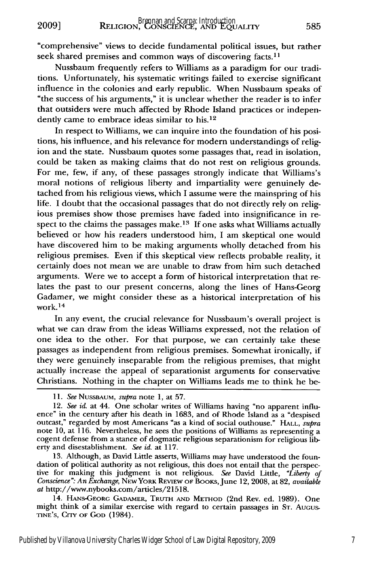"comprehensive" views to decide fundamental political issues, but rather seek shared premises and common ways of discovering facts.<sup>1</sup>

Nussbaum frequently refers to Williams as a paradigm for our traditions. Unfortunately, his systematic writings failed to exercise significant influence in the colonies and early republic. When Nussbaum speaks of "the success of his arguments," it is unclear whether the reader is to infer that outsiders were much affected by Rhode Island practices or independently came to embrace ideas similar to his.<sup>12</sup>

In respect to Williams, we can inquire into the foundation of his positions, his influence, and his relevance for modern understandings of religion and the state. Nussbaum quotes some passages that, read in isolation, could be taken as making claims that do not rest on religious grounds. For me, few, if any, of these passages strongly indicate that Williams's moral notions of religious liberty and impartiality were genuinely detached from his religious views, which I assume were the mainspring of his life. I doubt that the occasional passages that do not directly rely on religious premises show those premises have faded into insignificance in respect to the claims the passages make.<sup>13</sup> If one asks what Williams actually believed or how his readers understood him, I am skeptical one would have discovered him to be making arguments wholly detached from his religious premises. Even if this skeptical view reflects probable reality, it certainly does not mean we are unable to draw from him such detached arguments. Were we to accept a form of historical interpretation that relates the past to our present concerns, along the lines of Hans-Georg Gadamer, we might consider these as a historical interpretation of his work. 14

In any event, the crucial relevance for Nussbaum's overall project is what we can draw from the ideas Williams expressed, not the relation of one idea to the other. For that purpose, we can certainly take these passages as independent from religious premises. Somewhat ironically, if they were genuinely inseparable from the religious premises, that might actually increase the appeal of separationist arguments for conservative Christians. Nothing in the chapter on Williams leads me to think he be-

13. Although, as David Little asserts, Williams may have understood the foundation of political authority as not religious, this does not entail that the perspective for making this judgment is not religious. *See* David Little, *"Liberty of Conscience". An Exchange,* NEW YORK REVIEW OF BooKs, June 12, 2008, at 82, *available at* http://www.nybooks.com/articles/21518.

14. HANS-GEORG GADAMER, **TRUTH AND METHOD** (2nd Rev. ed. 1989). One might think of a similar exercise with regard to certain passages in **ST.** AUGUS-TINE'S, CrlY **OF GOD** (1984).

*<sup>11.</sup> See* **NUSSBAUM,** *supra* note 1, at 57.

<sup>12.</sup> *See id.* at 44. One scholar writes of Williams having "no apparent influence" in the century after his death in 1683, and of Rhode Island as a "despised outcast," regarded by most Americans "as a kind of social outhouse." HALL, *supra* note 10, at 116. Nevertheless, he sees the positions of Williams as representing a cogent defense from a stance of dogmatic religious separationism for religious liberty and disestablishment. *See id.* at 117.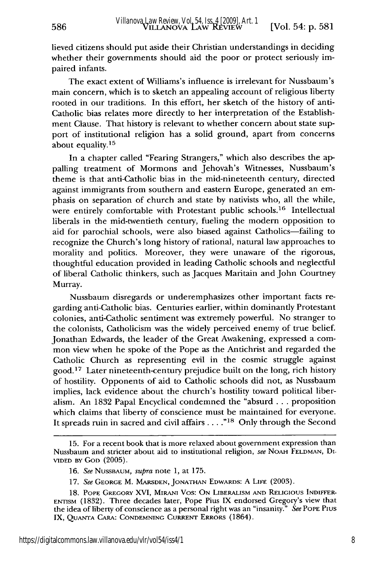lieved citizens should put aside their Christian understandings in deciding whether their governments should aid the poor or protect seriously impaired infants.

586

The exact extent of Williams's influence is irrelevant for Nussbaum's main concern, which is to sketch an appealing account of religious liberty rooted in our traditions. In this effort, her sketch of the history of anti-Catholic bias relates more directly to her interpretation of the Establishment Clause. That history is relevant to whether concern about state support of institutional religion has a solid ground, apart from concerns about equality.<sup>15</sup>

In a chapter called "Fearing Strangers," which also describes the appalling treatment of Mormons and Jehovah's Witnesses, Nussbaum's theme is that anti-Catholic bias in the mid-nineteenth century, directed against immigrants from southern and eastern Europe, generated an emphasis on separation of church and state by nativists who, all the while, were entirely comfortable with Protestant public schools.<sup>16</sup> Intellectual liberals in the mid-twentieth century, fueling the modern opposition to aid for parochial schools, were also biased against Catholics-failing to recognize the Church's long history of rational, natural law approaches to morality and politics. Moreover, they were unaware of the rigorous, thoughtful education provided in leading Catholic schools and neglectful of liberal Catholic thinkers, such as Jacques Maritain and John Courtney Murray.

Nussbaum disregards or underemphasizes other important facts regarding anti-Catholic bias. Centuries earlier, within dominantly Protestant colonies, anti-Catholic sentiment was extremely powerful. No stranger to the colonists, Catholicism was the widely perceived enemy of true belief. Jonathan Edwards, the leader of the Great Awakening, expressed a common view when he spoke of the Pope as the Antichrist and regarded the Catholic Church as representing evil in the cosmic struggle against good.17 Later nineteenth-century prejudice built on the long, rich history of hostility. Opponents of aid to Catholic schools did not, as Nussbaum implies, lack evidence about the church's hostility toward political liberalism. An 1832 Papal Encyclical condemned the "absurd ... proposition which claims that liberty of conscience must be maintained for everyone. It spreads ruin in sacred and civil affairs **..."18** Only through the Second

<sup>15.</sup> For a recent book that is more relaxed about government expression than Nussbaum and stricter about aid to institutional religion, *see* NOAH FELDMAN, Di-**VIDED BY** GOD (2005).

<sup>16.</sup> *See* NUSSBAUM, *supra* note 1, at 175.

<sup>17.</sup> *See* GEORGE M. MARSDEN, JONATHAN EDWARDS: A LIFE (2003).

**<sup>18.</sup>** POPE GREGORY XVI, MIRANI Vos: ON LIBERALISM **AND** RELIGIOUS INDIFFER-**ENTISM** (1832). Three decades later, Pope Pius IX endorsed Gregory's view that the idea of liberty of conscience as a personal right was an "insanity." *See* POPE PIus IX, **QUANTA** CARA: CONDEMNING CURRENT ERRORS (1864).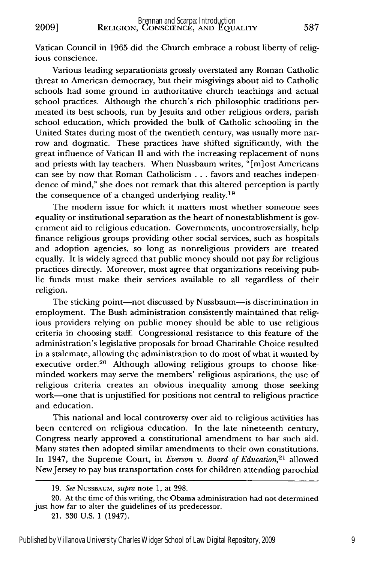Vatican Council in 1965 did the Church embrace a robust liberty of religious conscience.

Various leading separationists grossly overstated any Roman Catholic threat to American democracy, but their misgivings about aid to Catholic schools had some ground in authoritative church teachings and actual school practices. Although the church's rich philosophic traditions permeated its best schools, run by Jesuits and other religious orders, parish school education, which provided the bulk of Catholic schooling in the United States during most of the twentieth century, was usually more narrow and dogmatic. These practices have shifted significantly, with the great influence of Vatican II and with the increasing replacement of nuns and priests with lay teachers. When Nussbaum writes, "[m]ost Americans can see by now that Roman Catholicism . *.* . favors and teaches independence of mind," she does not remark that this altered perception is partly the consequence of a changed underlying reality.<sup>19</sup>

The modern issue for which it matters most whether someone sees equality or institutional separation as the heart of nonestablishment is government aid to religious education. Governments, uncontroversially, help finance religious groups providing other social services, such as hospitals and adoption agencies, so long as nonreligious providers are treated equally. It is widely agreed that public money should not pay for religious practices directly. Moreover, most agree that organizations receiving public funds must make their services available to all regardless of their religion.

The sticking point-not discussed by Nussbaum-is discrimination in employment. The Bush administration consistently maintained that religious providers relying on public money should be able to use religious criteria in choosing staff. Congressional resistance to this feature of the administration's legislative proposals for broad Charitable Choice resulted in a stalemate, allowing the administration to do most of what it wanted by executive order.<sup>20</sup> Although allowing religious groups to choose likeminded workers may serve the members' religious aspirations, the use of religious criteria creates an obvious inequality among those seeking work-one that is unjustified for positions not central to religious practice and education.

This national and local controversy over aid to religious activities has been centered on religious education. In the late nineteenth century, Congress nearly approved a constitutional amendment to bar such aid. Many states then adopted similar amendments to their own constitutions. In 1947, the Supreme Court, in *Everson v. Board of Education*,<sup>21</sup> allowed NewJersey to pay bus transportation costs for children attending parochial

<sup>19.</sup> *See* NUSSBAUM, *supra* note 1, at 298.

<sup>20.</sup> At the time of this writing, the Obama administration had not determined just how far to alter the guidelines of its predecessor.

<sup>21. 330</sup> U.S. 1 (1947).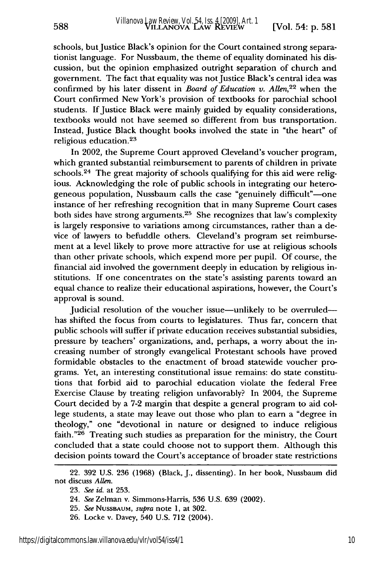588

schools, but Justice Black's opinion for the Court contained strong separationist language. For Nussbaum, the theme of equality dominated his discussion, but the opinion emphasized outright separation of church and government. The fact that equality was not Justice Black's central idea was confirmed by his later dissent in *Board of Education v. Allen*,<sup>22</sup> when the Court confirmed New York's provision of textbooks for parochial school students. If Justice Black were mainly guided by equality considerations, textbooks would not have seemed so different from bus transportation. Instead, Justice Black thought books involved the state in "the heart" of religious education.<sup>23</sup>

In 2002, the Supreme Court approved Cleveland's voucher program, which granted substantial reimbursement to parents of children in private schools.<sup>24</sup> The great majority of schools qualifying for this aid were religious. Acknowledging the role of public schools in integrating our heterogeneous population, Nussbaum calls the case "genuinely difficult"-one instance of her refreshing recognition that in many Supreme Court cases both sides have strong arguments. 25 She recognizes that law's complexity is largely responsive to variations among circumstances, rather than a device of lawyers to befuddle others. Cleveland's program set reimbursement at a level likely to prove more attractive for use at religious schools than other private schools, which expend more per pupil. Of course, the financial aid involved the government deeply in education by religious institutions. If one concentrates on the state's assisting parents toward an equal chance to realize their educational aspirations, however, the Court's approval is sound.

Judicial resolution of the voucher issue—unlikely to be overruled has shifted the focus from courts to legislatures. Thus far, concern that public schools will suffer if private education receives substantial subsidies, pressure by teachers' organizations, and, perhaps, a worry about the increasing number of strongly evangelical Protestant schools have proved formidable obstacles to the enactment of broad statewide voucher programs. Yet, an interesting constitutional issue remains: do state constitutions that forbid aid to parochial education violate the federal Free Exercise Clause by treating religion unfavorably? In 2004, the Supreme Court decided by a 7-2 margin that despite a general program to aid college students, a state may leave out those who plan to earn a "degree in theology," one "devotional in nature or designed to induce religious faith."<sup>26</sup> Treating such studies as preparation for the ministry, the Court concluded that a state could choose not to support them. Although this decision points toward the Court's acceptance of broader state restrictions

<sup>22. 392</sup> U.S. 236 (1968) (Black, J., dissenting). In her book, Nussbaum did not discuss *Allen.*

<sup>23.</sup> *See id.* at 253.

<sup>24.</sup> *See* Zelman v. Simmons-Harris, 536 U.S. 639 (2002).

<sup>25.</sup> *See* NUSSBAuIM, *supra* note 1, at 302.

<sup>26.</sup> Locke v. Davey, 540 U.S. 712 (2004).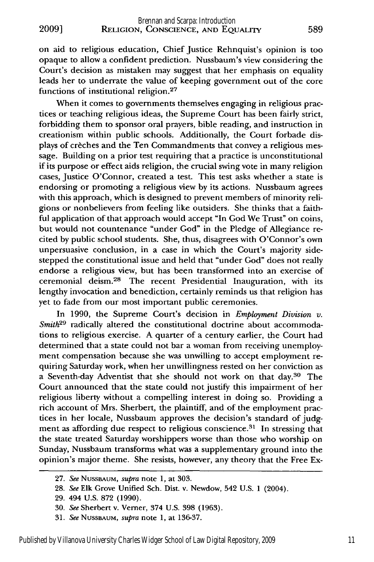on aid to religious education, Chief Justice Rehnquist's opinion is too opaque to allow a confident prediction. Nussbaum's view considering the Court's decision as mistaken may suggest that her emphasis on equality leads her to underrate the value of keeping government out of the core functions of institutional religion.<sup>27</sup>

When it comes to governments themselves engaging in religious practices or teaching religious ideas, the Supreme Court has been fairly strict, forbidding them to sponsor oral prayers, bible reading, and instruction in creationism within public schools. Additionally, the Court forbade displays of creches and the Ten Commandments that convey a religious message. Building on a prior test requiring that a practice is unconstitutional if its purpose or effect aids religion, the crucial swing vote in many religion cases, Justice O'Connor, created a test. This test asks whether a state is endorsing or promoting a religious view **by** its actions. Nussbaum agrees with this approach, which is designed to prevent members of minority religions or nonbelievers from feeling like outsiders. She thinks that a faithful application of that approach would accept "In God We Trust" on coins, but would not countenance "under God" in the Pledge of Allegiance recited **by** public school students. She, thus, disagrees with O'Connor's own unpersuasive conclusion, in a case in which the Court's majority sidestepped the constitutional issue and held that "under God" does not really endorse a religious view, but has been transformed into an exercise of ceremonial deism.<sup>28</sup> The recent Presidential Inauguration, with its lengthy invocation and benediction, certainly reminds us that religion has yet to fade from our most important public ceremonies.

In **1990,** the Supreme Court's decision in *Employment Division v. Smith29* radically altered the constitutional doctrine about accommodations to religious exercise. **A** quarter of a century earlier, the Court had determined that a state could not bar a woman from receiving unemployment compensation because she was unwilling to accept employment requiring Saturday work, when her unwillingness rested on her conviction as a Seventh-day Adventist that she should not work on that day.30 The Court announced that the state could not justify this impairment of her religious liberty without a compelling interest in doing so. Providing a rich account of Mrs. Sherbert, the plaintiff, and of the employment practices in her locale, Nussbaum approves the decision's standard of **judg**ment as affording due respect to religious conscience.<sup>31</sup> In stressing that the state treated Saturday worshippers worse than those who worship on Sunday, Nussbaum transforms what was a supplementary ground into the opinion's major theme. She resists, however, any theory that the Free Ex-

**<sup>27.</sup>** *See* NUSSBAUM, *supra* note **1,** at **303.**

**<sup>28.</sup>** *See* **Elk** Grove Unified Sch. Dist. v. Newdow, 542 **U.S. 1** (2004).

**<sup>29.</sup>** 494 **U.S. 872 (1990).**

**<sup>30.</sup>** *See* Sherbert v. Vermer, 374 **U.S. 398 (1963).**

<sup>31.</sup> *See* NUSSBAUM, *supra* note 1, at 136-37.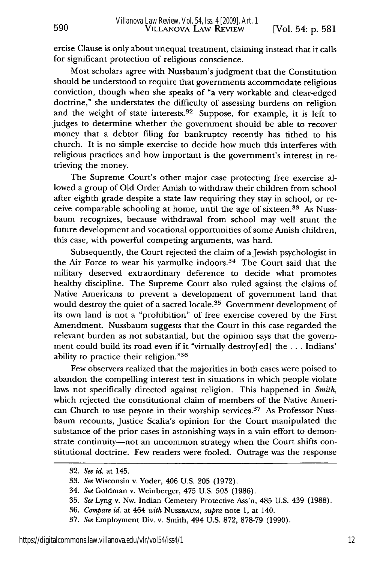ercise Clause is only about unequal treatment, claiming instead that it calls for significant protection of religious conscience.

Most scholars agree with Nussbaum's judgment that the Constitution should be understood to require that governments accommodate religious conviction, though when she speaks of "a very workable and clear-edged doctrine," she understates the difficulty of assessing burdens on religion and the weight of state interests. $32$  Suppose, for example, it is left to judges to determine whether the government should be able to recover money that a debtor filing for bankruptcy recently has tithed to his church. It is no simple exercise to decide how much this interferes with religious practices and how important is the government's interest in retrieving the money.

The Supreme Court's other major case protecting free exercise allowed a group of Old Order Amish to withdraw their children from school after eighth grade despite a state law requiring they stay in school, or receive comparable schooling at home, until the age of sixteen.<sup>33</sup> As Nussbaum recognizes, because withdrawal from school may well stunt the future development and vocational opportunities of some Amish children, this case, with powerful competing arguments, was hard.

Subsequently, the Court rejected the claim of a Jewish psychologist in the Air Force to wear his yarmulke indoors.<sup>34</sup> The Court said that the military deserved extraordinary deference to decide what promotes healthy discipline. The Supreme Court also ruled against the claims of Native Americans to prevent a development of government land that would destroy the quiet of a sacred locale.<sup>35</sup> Government development of its own land is not a "prohibition" of free exercise covered by the First Amendment. Nussbaum suggests that the Court in this case regarded the relevant burden as not substantial, but the opinion says that the government could build its road even if it "virtually destroy[ed] the ... Indians' ability to practice their religion."36

Few observers realized that the majorities in both cases were poised to abandon the compelling interest test in situations in which people violate laws not specifically directed against religion. This happened in *Smith,* which rejected the constitutional claim of members of the Native American Church to use peyote in their worship services.<sup>37</sup> As Professor Nussbaum recounts, Justice Scalia's opinion for the Court manipulated the substance of the prior cases in astonishing ways in a vain effort to demonstrate continuity-not an uncommon strategy when the Court shifts constitutional doctrine. Few readers were fooled. Outrage was the response

590

<sup>32.</sup> *See id.* at 145.

<sup>33.</sup> *See* Wisconsin v. Yoder, 406 U.S. 205 (1972).

<sup>34.</sup> *See* Goldman v. Weinberger, 475 U.S. 503 (1986).

<sup>35.</sup> *See* Lyng v. Nw. Indian Cemetery Protective Ass'n, 485 U.S. 439 (1988).

<sup>36.</sup> *Compare id.* at 464 *with* NUSSBAUM, *supra* note **1,** at 140.

<sup>37.</sup> *See* Employment Div. v. Smith, 494 U.S. 872, 878-79 (1990).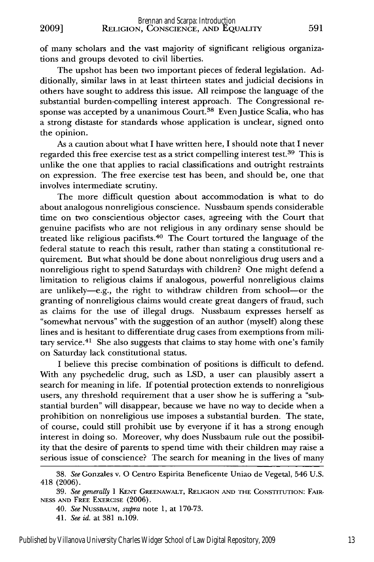of many scholars and the vast majority of significant religious organizations and groups devoted to civil liberties.

The upshot has been two important pieces of federal legislation. Additionally, similar laws in at least thirteen states and judicial decisions in others have sought to address this issue. All reimpose the language of the substantial burden-compelling interest approach. The Congressional response was accepted by a unanimous Court.<sup>38</sup> Even Justice Scalia, who has a strong distaste for standards whose application is unclear, signed onto the opinion.

As a caution about what I have written here, I should note that I never regarded this free exercise test as a strict compelling interest test.<sup>39</sup> This is unlike the one that applies to racial classifications and outright restraints on expression. The free exercise test has been, and should be, one that involves intermediate scrutiny.

The more difficult question about accommodation is what to do about analogous nonreligious conscience. Nussbaum spends considerable time on two conscientious objector cases, agreeing with the Court that genuine pacifists who are not religious in any ordinary sense should be treated like religious pacifists. 40 The Court tortured the language of the federal statute to reach this result, rather than stating a constitutional requirement. But what should be done about nonreligious drug users and a nonreligious right to spend Saturdays with children? One might defend a limitation to religious claims if analogous, powerful nonreligious claims are unlikely-e.g., the right to withdraw children from school-or the granting of nonreligious claims would create great dangers of fraud, such as claims for the use of illegal drugs. Nussbaum expresses herself as "somewhat nervous" with the suggestion of an author (myself) along these lines and is hesitant to differentiate drug cases from exemptions from military service.<sup>41</sup> She also suggests that claims to stay home with one's family on Saturday lack constitutional status.

I believe this precise combination of positions is difficult to defend. With any psychedelic drug, such as LSD, a user can plausibly assert a search for meaning in life. If potential protection extends to nonreligious users, any threshold requirement that a user show he is suffering a "substantial burden" will disappear, because we have no way to decide when a prohibition on nonreligious use imposes a substantial burden. The state, of course, could still prohibit use by everyone if it has a strong enough interest in doing so. Moreover, why does Nussbaum rule out the possibility that the desire of parents to spend time with their children may raise a serious issue of conscience? The search for meaning in the lives of many

<sup>38.</sup> *See* Gonzales v. **0** Centro Espirita Beneficente Uniao de Vegetal, 546 U.S. 418 (2006).

<sup>39.</sup> See generally 1 KENT GREENAWALT, RELIGION AND THE CONSTITUTION: FAIR-**NESS AND** FREE EXERCISE (2006).

<sup>40.</sup> *See* NUSSBAUM, *supra* note 1, at 170-73.

<sup>41.</sup> *See id.* at 381 n.109.